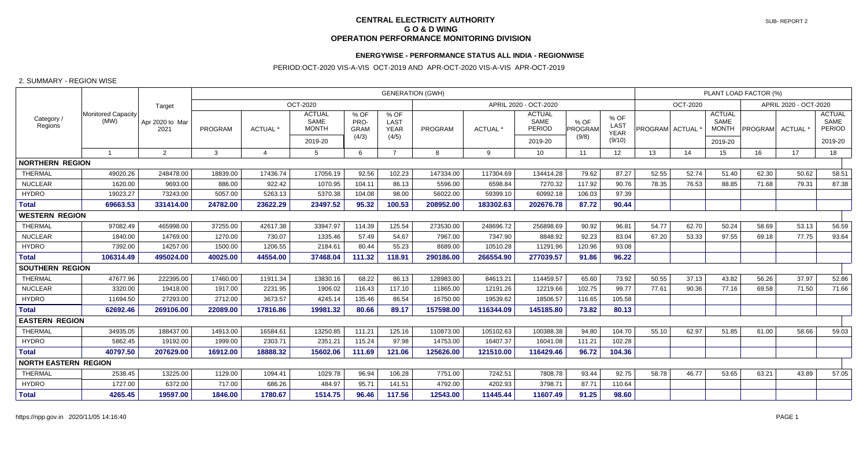## **CENTRAL ELECTRICITY AUTHORITYT** SUB-REPORT 2  **G O & D WING OPERATION PERFORMANCE MONITORING DIVISION**

## **ENERGYWISE - PERFORMANCE STATUS ALL INDIA - REGIONWISE**

## PERIOD:OCT-2020 VIS-A-VIS OCT-2019 AND APR-OCT-2020 VIS-A-VIS APR-OCT-2019

## 2. SUMMARY - REGION WISE

| Category /<br>Regions       | <b>Monitored Capacity</b><br>(MW) | Target                  | <b>GENERATION (GWH)</b> |                       |                                                         |                                      |                                      |           |                       |                                                   |                          |                                       |                | PLANT LOAD FACTOR (%) |                                                  |         |        |                                                   |  |  |
|-----------------------------|-----------------------------------|-------------------------|-------------------------|-----------------------|---------------------------------------------------------|--------------------------------------|--------------------------------------|-----------|-----------------------|---------------------------------------------------|--------------------------|---------------------------------------|----------------|-----------------------|--------------------------------------------------|---------|--------|---------------------------------------------------|--|--|
|                             |                                   |                         | OCT-2020                |                       |                                                         |                                      |                                      |           | APRIL 2020 - OCT-2020 |                                                   |                          |                                       |                |                       | OCT-2020                                         |         |        | APRIL 2020 - OCT-2020                             |  |  |
|                             |                                   | Apr 2020 to Mar<br>2021 | <b>PROGRAM</b>          | ACTUAL <sup>*</sup>   | <b>ACTUAL</b><br><b>SAME</b><br><b>MONTH</b><br>2019-20 | % OF<br>PRO-<br><b>GRAM</b><br>(4/3) | % OF<br>LAST<br><b>YEAR</b><br>(4/5) | PROGRAM   | ACTUAL *              | <b>ACTUAL</b><br>SAME<br><b>PERIOD</b><br>2019-20 | % OF<br>PROGRAM<br>(9/8) | % OF<br>LAST<br><b>YEAR</b><br>(9/10) | PROGRAM ACTUAL |                       | <b>ACTUAL</b><br>SAME<br><b>MONTH</b><br>2019-20 | PROGRAM | ACTUAL | <b>ACTUAL</b><br>SAME<br><b>PERIOD</b><br>2019-20 |  |  |
|                             | -1                                | $\overline{2}$          | 3                       | $\boldsymbol{\Delta}$ | -5                                                      | 6                                    |                                      | 8         | 9                     | 10                                                | 11                       | 12                                    | 13             | 14                    | 15                                               | 16      | 17     | 18                                                |  |  |
| <b>NORTHERN REGION</b>      |                                   |                         |                         |                       |                                                         |                                      |                                      |           |                       |                                                   |                          |                                       |                |                       |                                                  |         |        |                                                   |  |  |
| <b>THERMAL</b>              | 49020.26                          | 248478.00               | 18839.00                | 17436.74              | 17056.19                                                | 92.56                                | 102.23                               | 147334.00 | 117304.69             | 134414.28                                         | 79.62                    | 87.27                                 | 52.55          | 52.74                 | 51.40                                            | 62.30   | 50.62  | 58.51                                             |  |  |
| <b>NUCLEAR</b>              | 1620.00                           | 9693.00                 | 886.00                  | 922.42                | 1070.95                                                 | 104.11                               | 86.13                                | 5596.00   | 6598.84               | 7270.32                                           | 117.92                   | 90.76                                 | 78.35          | 76.53                 | 88.85                                            | 71.68   | 79.31  | 87.38                                             |  |  |
| <b>HYDRO</b>                | 19023.27                          | 73243.00                | 5057.00                 | 5263.13               | 5370.38                                                 | 104.08                               | 98.00                                | 56022.00  | 59399.10              | 60992.18                                          | 106.03                   | 97.39                                 |                |                       |                                                  |         |        |                                                   |  |  |
| <b>Total</b>                | 69663.53                          | 331414.00               | 24782.00                | 23622.29              | 23497.52                                                | 95.32                                | 100.53                               | 208952.00 | 183302.63             | 202676.78                                         | 87.72                    | 90.44                                 |                |                       |                                                  |         |        |                                                   |  |  |
| <b>WESTERN REGION</b>       |                                   |                         |                         |                       |                                                         |                                      |                                      |           |                       |                                                   |                          |                                       |                |                       |                                                  |         |        |                                                   |  |  |
| <b>THERMAL</b>              | 97082.49                          | 465998.00               | 37255.00                | 42617.38              | 33947.97                                                | 114.39                               | 125.54                               | 273530.00 | 248696.72             | 256898.69                                         | 90.92                    | 96.81                                 | 54.77          | 62.70                 | 50.24                                            | 58.69   | 53.13  | 56.59                                             |  |  |
| <b>NUCLEAR</b>              | 1840.00                           | 14769.00                | 1270.00                 | 730.07                | 1335.46                                                 | 57.49                                | 54.67                                | 7967.00   | 7347.90               | 8848.92                                           | 92.23                    | 83.04                                 | 67.20          | 53.33                 | 97.55                                            | 69.18   | 77.75  | 93.64                                             |  |  |
| <b>HYDRO</b>                | 7392.00                           | 14257.00                | 1500.00                 | 1206.55               | 2184.61                                                 | 80.44                                | 55.23                                | 8689.00   | 10510.28              | 11291.96                                          | 120.96                   | 93.08                                 |                |                       |                                                  |         |        |                                                   |  |  |
| <b>Total</b>                | 106314.49                         | 495024.00               | 40025.00                | 44554.00              | 37468.04                                                | 111.32                               | 118.91                               | 290186.00 | 266554.90             | 277039.57                                         | 91.86                    | 96.22                                 |                |                       |                                                  |         |        |                                                   |  |  |
| <b>SOUTHERN REGION</b>      |                                   |                         |                         |                       |                                                         |                                      |                                      |           |                       |                                                   |                          |                                       |                |                       |                                                  |         |        |                                                   |  |  |
| <b>THERMAL</b>              | 47677.96                          | 222395.00               | 17460.00                | 11911.34              | 13830.16                                                | 68.22                                | 86.13                                | 128983.00 | 84613.21              | 114459.57                                         | 65.60                    | 73.92                                 | 50.55          | 37.13                 | 43.82                                            | 56.26   | 37.97  | 52.86                                             |  |  |
| <b>NUCLEAR</b>              | 3320.00                           | 19418.00                | 1917.00                 | 2231.95               | 1906.02                                                 | 116.43                               | 117.10                               | 11865.00  | 12191.26              | 12219.66                                          | 102.75                   | 99.77                                 | 77.61          | 90.36                 | 77.16                                            | 69.58   | 71.50  | 71.66                                             |  |  |
| <b>HYDRO</b>                | 11694.50                          | 27293.00                | 2712.00                 | 3673.57               | 4245.14                                                 | 135.46                               | 86.54                                | 16750.00  | 19539.62              | 18506.57                                          | 116.65                   | 105.58                                |                |                       |                                                  |         |        |                                                   |  |  |
| <b>Total</b>                | 62692.46                          | 269106.00               | 22089.00                | 17816.86              | 19981.32                                                | 80.66                                | 89.17                                | 157598.00 | 116344.09             | 145185.80                                         | 73.82                    | 80.13                                 |                |                       |                                                  |         |        |                                                   |  |  |
| <b>EASTERN REGION</b>       |                                   |                         |                         |                       |                                                         |                                      |                                      |           |                       |                                                   |                          |                                       |                |                       |                                                  |         |        |                                                   |  |  |
| THERMAL                     | 34935.05                          | 188437.00               | 14913.00                | 16584.61              | 13250.85                                                | 111.21                               | 125.16                               | 110873.00 | 105102.63             | 100388.38                                         | 94.80                    | 104.70                                | 55.10          | 62.97                 | 51.85                                            | 61.00   | 58.66  | 59.03                                             |  |  |
| <b>HYDRO</b>                | 5862.45                           | 19192.00                | 1999.00                 | 2303.71               | 2351.21                                                 | 115.24                               | 97.98                                | 14753.00  | 16407.37              | 16041.08                                          | 111.21                   | 102.28                                |                |                       |                                                  |         |        |                                                   |  |  |
| <b>Total</b>                | 40797.50                          | 207629.00               | 16912.00                | 18888.32              | 15602.06                                                | 111.69                               | 121.06                               | 125626.00 | 121510.00             | 116429.46                                         | 96.72                    | 104.36                                |                |                       |                                                  |         |        |                                                   |  |  |
| <b>NORTH EASTERN REGION</b> |                                   |                         |                         |                       |                                                         |                                      |                                      |           |                       |                                                   |                          |                                       |                |                       |                                                  |         |        |                                                   |  |  |
| THERMAL                     | 2538.45                           | 13225.00                | 1129.00                 | 1094.41               | 1029.78                                                 | 96.94                                | 106.28                               | 7751.00   | 7242.51               | 7808.78                                           | 93.44                    | 92.75                                 | 58.78          | 46.77                 | 53.65                                            | 63.21   | 43.89  | 57.05                                             |  |  |
| <b>HYDRO</b>                | 1727.00                           | 6372.00                 | 717.00                  | 686.26                | 484.97                                                  | 95.71                                | 141.51                               | 4792.00   | 4202.93               | 3798.71                                           | 87.71                    | 110.64                                |                |                       |                                                  |         |        |                                                   |  |  |
| <b>Total</b>                | 4265.45                           | 19597.00                | 1846.00                 | 1780.67               | 1514.75                                                 | 96.46                                | 117.56                               | 12543.00  | 11445.44              | 11607.49                                          | 91.25                    | 98.60                                 |                |                       |                                                  |         |        |                                                   |  |  |